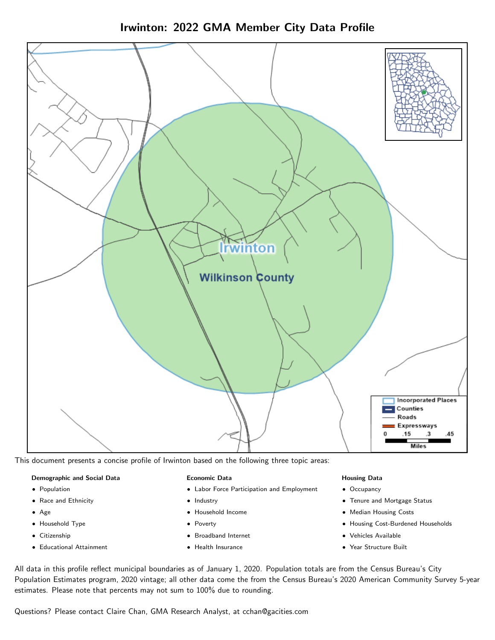Irwinton: 2022 GMA Member City Data Profile



This document presents a concise profile of Irwinton based on the following three topic areas:

#### Demographic and Social Data

- **•** Population
- Race and Ethnicity
- Age
- Household Type
- **Citizenship**
- Educational Attainment

#### Economic Data

- Labor Force Participation and Employment
- Industry
- Household Income
- Poverty
- Broadband Internet
- Health Insurance

#### Housing Data

- Occupancy
- Tenure and Mortgage Status
- Median Housing Costs
- Housing Cost-Burdened Households
- Vehicles Available
- Year Structure Built

All data in this profile reflect municipal boundaries as of January 1, 2020. Population totals are from the Census Bureau's City Population Estimates program, 2020 vintage; all other data come the from the Census Bureau's 2020 American Community Survey 5-year estimates. Please note that percents may not sum to 100% due to rounding.

Questions? Please contact Claire Chan, GMA Research Analyst, at [cchan@gacities.com.](mailto:cchan@gacities.com)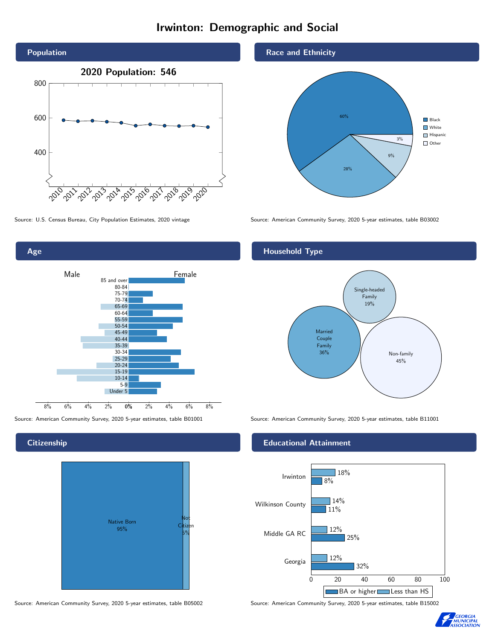# Irwinton: Demographic and Social



Source: U.S. Census Bureau, City Population Estimates, 2020 vintage Source: American Community Survey, 2020 5-year estimates, table B03002



## **Citizenship**



Source: American Community Survey, 2020 5-year estimates, table B05002 Source: American Community Survey, 2020 5-year estimates, table B15002

## Race and Ethnicity



## Household Type



Source: American Community Survey, 2020 5-year estimates, table B01001 Source: American Community Survey, 2020 5-year estimates, table B11001

## Educational Attainment



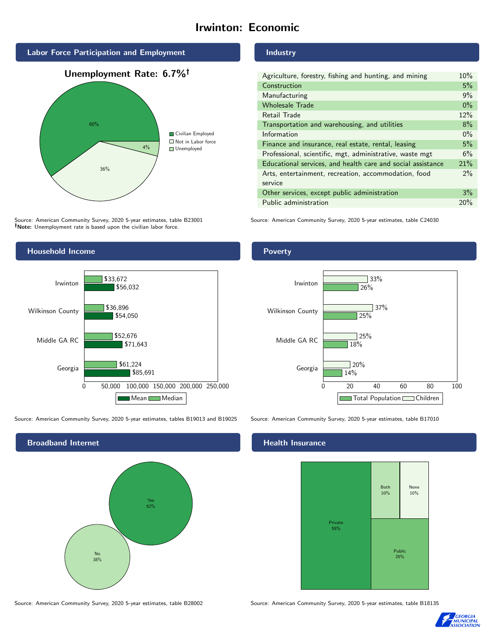# Irwinton: Economic



Source: American Community Survey, 2020 5-year estimates, table B23001 Note: Unemployment rate is based upon the civilian labor force.

## Industry

| Agriculture, forestry, fishing and hunting, and mining      | 10%   |
|-------------------------------------------------------------|-------|
| Construction                                                | 5%    |
| Manufacturing                                               | 9%    |
| <b>Wholesale Trade</b>                                      | $0\%$ |
| Retail Trade                                                | 12%   |
| Transportation and warehousing, and utilities               | 8%    |
| Information                                                 | $0\%$ |
| Finance and insurance, real estate, rental, leasing         | 5%    |
| Professional, scientific, mgt, administrative, waste mgt    | 6%    |
| Educational services, and health care and social assistance | 21%   |
| Arts, entertainment, recreation, accommodation, food        | $2\%$ |
| service                                                     |       |
| Other services, except public administration                | 3%    |
| Public administration                                       | 20%   |

Source: American Community Survey, 2020 5-year estimates, table C24030



Source: American Community Survey, 2020 5-year estimates, tables B19013 and B19025 Source: American Community Survey, 2020 5-year estimates, table B17010

Broadband Internet No 38% Yes 62%

Poverty



## Health Insurance



Source: American Community Survey, 2020 5-year estimates, table B28002 Source: American Community Survey, 2020 5-year estimates, table B18135